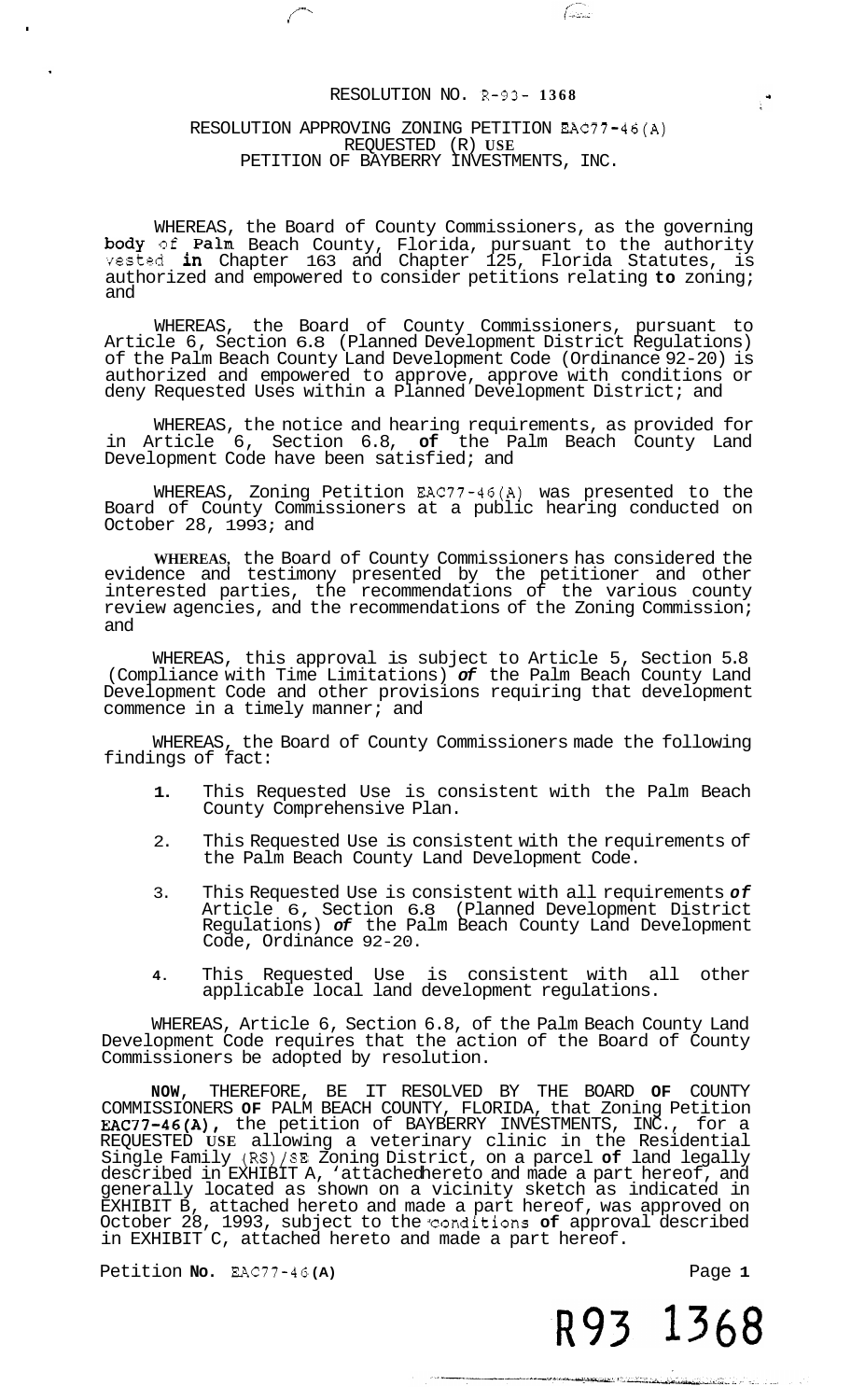(alian)

 $\mathbb{R}^4$ 

### RESOLUTION APPROVING ZONING PETITION EAC77-46(A) REQUESTED (R) **USE**  PETITION OF BAYBERRY INVESTMENTS, INC.

<span id="page-0-0"></span>*f-'* .

WHEREAS, the Board of County Commissioners, as the governing body of Palm Beach County, Florida, pursuant to the authority vested in Chapter 163 and Chapter 125, Florida Statutes, is authorized and empowered to consider petitions relating **to** zoning; and

WHEREAS, the Board of County Commissioners, pursuant to Article 6, Section 6.8 (Planned Development District Regulations) of the Palm Beach County Land Development Code (Ordinance 92-20) is authorized and empowered to approve, approve with conditions or deny Requested Uses within a Planned Development District; and

WHEREAS, the notice and hearing requirements, as provided for in Article 6, Section 6.8, **of** the Palm Beach County Land Development Code have been satisfied; and

WHEREAS, Zoning Petition EAC77-46(A) was presented to the Board of County Commissioners at a public hearing conducted on October 28,  $1993;$  and

**WHEREAS,** the Board of County Commissioners has considered the evidence and testimony presented by the petitioner and other interested parties, the recommendations of the various county review agencies, and the recommendations of the Zoning Commission; and

WHEREAS, this approval is subject to Article 5, Section 5.8 (Compliance with Time Limitations) *of* the Palm Beach County Land Development Code and other provisions requiring that development commence in a timely manner; and

WHEREAS, the Board of County Commissioners made the following findings of fact:

- **1.** This Requested Use is consistent with the Palm Beach County Comprehensive Plan.
- 2. This Requested Use is consistent with the requirements of the Palm Beach County Land Development Code.
- 3. This Requested Use is consistent with all requirements *of*  Article 6, Section 6.8 (Planned Development District Regulations) *of* the Palm Beach County Land Development Code, Ordinance 92-20.
- **4.** This Requested Use is consistent with all other applicable local land development regulations.

WHEREAS, Article 6, Section 6.8, of the Palm Beach County Land Development Code requires that the action of the Board of County Commissioners be adopted by resolution.

**NOW,** THEREFORE, BE IT RESOLVED BY THE BOARD **OF** COUNTY COMMISSIONERS **OF** PALM BEACH COUNTY, FLORIDA, that Zoning Petition EAC77-46(A), the petition of BAYBERRY INVESTMENTS, INC., for a REQUESTED **USE** allowing a veterinary clinic in the Residential Single Family (RS)/SE Zoning District, on a parcel **of** land legally described in EXHIBIT A, 'attached hereto and made a part hereof, and generally located as shown on a vicinity sketch as indicated in EXHIBIT B, attached hereto and made a part hereof, was approved on October 28, 1993, subject to the conditions **of** approval described in EXHIBIT C, attached hereto and made a part hereof.

Petition **No.** EAC77-46 (A) **Page 1 Page 1**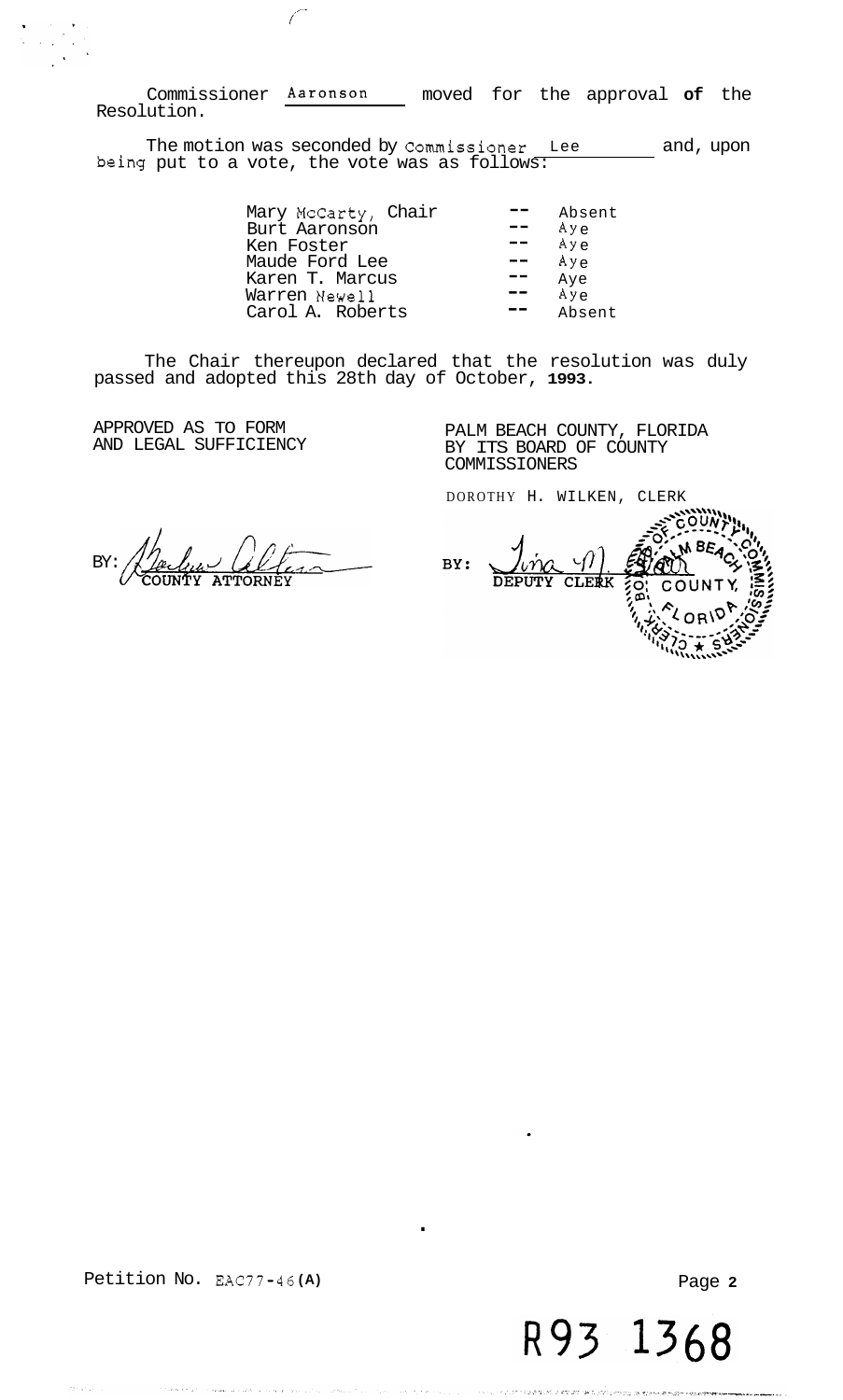Commissioner Aaronson moved for the approval **of** the Resolution.

*f*  ,-

The motion was seconded by Commissioner Lee and, upon being put to a vote, the vote was as follows:

| Mary McCarty, Chair         | Absent<br>Aye |
|-----------------------------|---------------|
| Burt Aaronson<br>Ken Foster | Aye           |
| Maude Ford Lee              | Aye           |
| Karen T. Marcus             | Aye           |
| Warren Newell               | $Ay \rho$     |
| Carol A. Roberts            | Absent        |

The Chair thereupon declared that the resolution was duly passed and adopted this 28th day of October, **1993.** 

.

APPROVED AS TO FORM AND LEGAL SUFFICIENCY PALM BEACH COUNTY, FLORIDA BY ITS BOARD OF COUNTY COMMISSIONERS

DOROTHY H. WILKEN, CLERK

BY:

BY: **CLERK** 

Petition No. **EAC77-46 (A)** 

Page **2**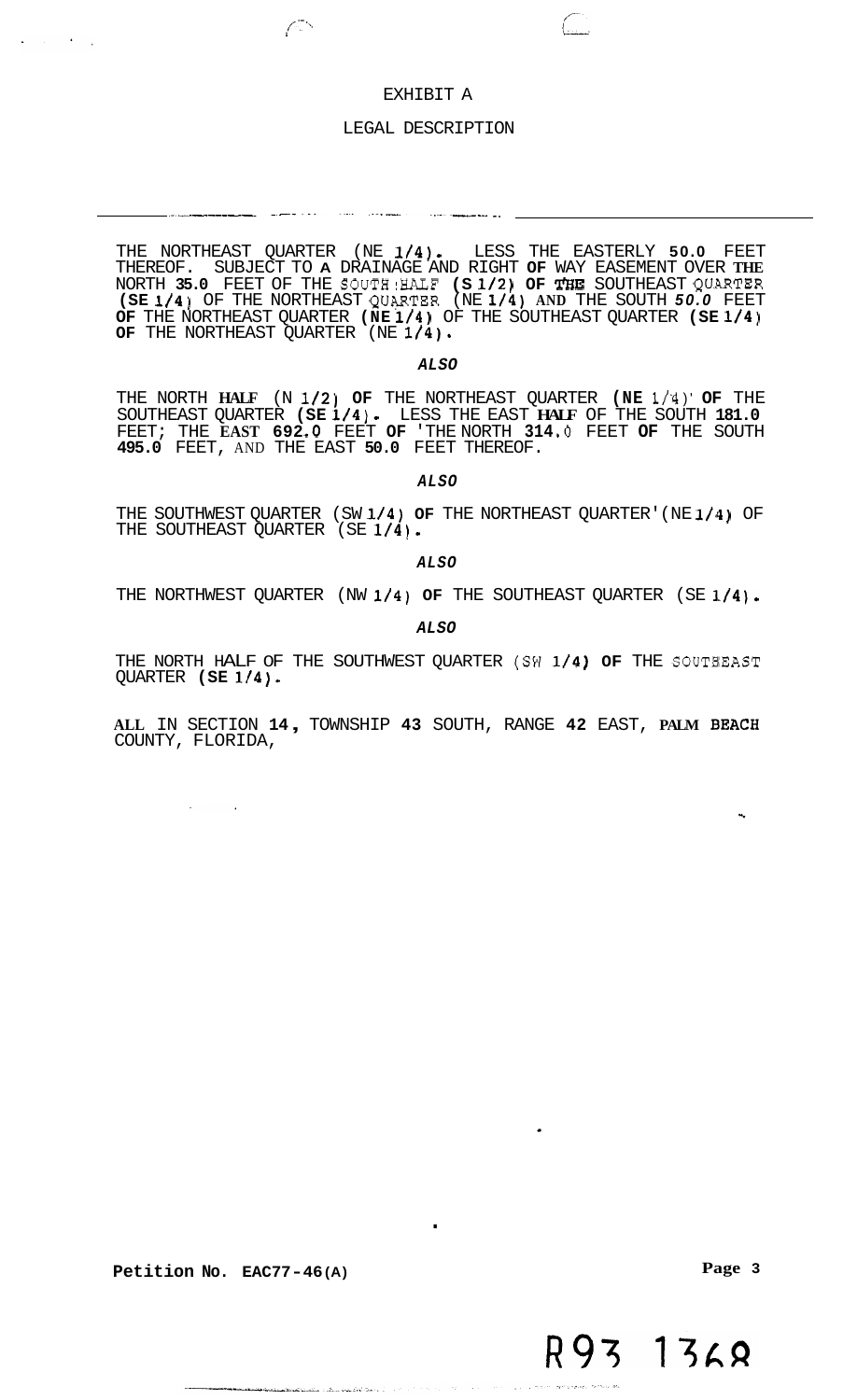### EXHIBIT A

 $\left(\begin{array}{c} \cdot \end{array}\right)$ 

 $\sqrt{2}$ 

an di papa di papa di papa di papa di papa di papa di papa di papa di papa di papa di papa di papa di papa di<br>Papa di papa di papa di papa di papa di papa di papa di papa di papa di papa di papa di papa di papa di papa d

### LEGAL DESCRIPTION

THE NORTHEAST QUARTER (NE **1/4).** LESS THE EASTERLY **50.0** FEET THEREOF. SUBJECT TO **A** DRAINAGE AND RIGHT **OF** WAY EASEMENT OVER **THE**  NORTH **35.0** FEET OF THE SOUTHIHALF **(S 1/2) OF T'HE** SOUTHEAST QU.ARTER **(SE 1/4)** OF THE NORTHEAST QUqRTER (NE **1/4) AND** THE SOUTH *50.0* FEET **OF** THE NORTHEAST QUARTER **(NE 1/4)** OF THE SOUTHEAST QUARTER **(SE 1/4) OF** THE NORTHEAST QUARTER (NE **1/4)\*** 

*ALSO* 

THE NORTH **HALF** (N **1/2) OF** THE NORTHEAST QUARTER **(NE 1/'4** )' **OF** THE SOUTHEAST QUARTER **(SE 1/4).** LESS THE EAST **HALF** OF THE SOUTH **181.0 495.0** FEET, AND THE EAST **50.0** FEET THEREOF. FEET; THE **EAST 692 -0** FEET **OF** 'THE NORTH **314** *.O* FEET **OF** THE SOUTH

*ALSO* 

THE SOUTHWEST QUARTER (SW **1/4) OF** THE NORTHEAST QUARTER' (NE **1/44)** OF THE SOUTHEAST QUARTER (SE **1/4).** 

*ALSO* 

THE NORTHWEST QUARTER (NW 1/4) OF THE SOUTHEAST QUARTER (SE 1/4).

*ALSO* 

THE NORTH HALF OF THE SOUTHWEST QUARTER (SW 1/4) OF THE SOUTBEAST QUARTER **(SE 1/4).** 

**ALL** IN SECTION **14** , TOWNSHIP **43** SOUTH, RANGE **42** EAST, **PALM B'EACH**  COUNTY, FLORIDA,

.

a lizikati na m

**Petition No. EAC77-46 (A)** 

**Page 3**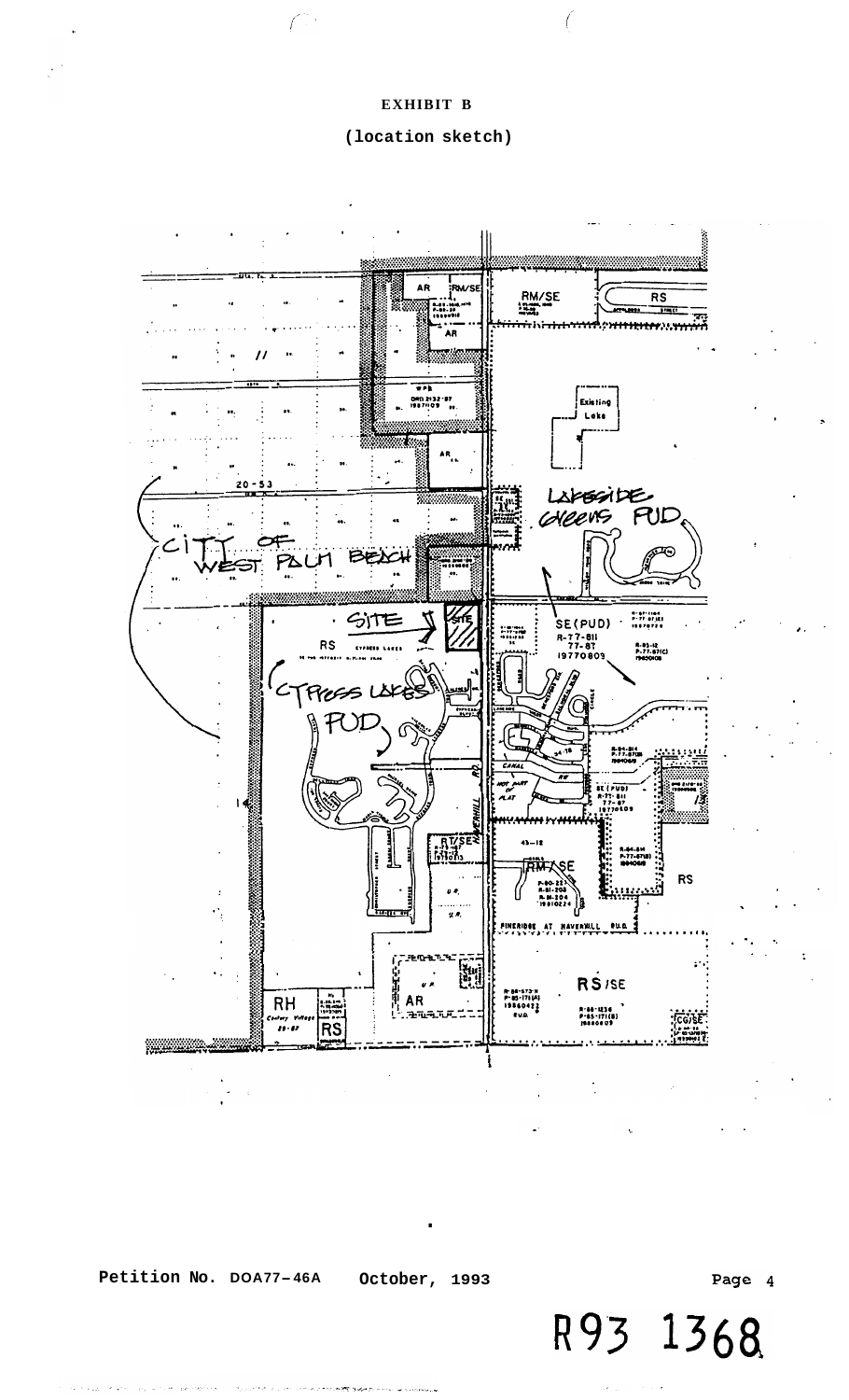## **(location sketch)**

<span id="page-3-0"></span>

**Petition No. DOA77-46A** 

**October, 1993** 

.

Page 4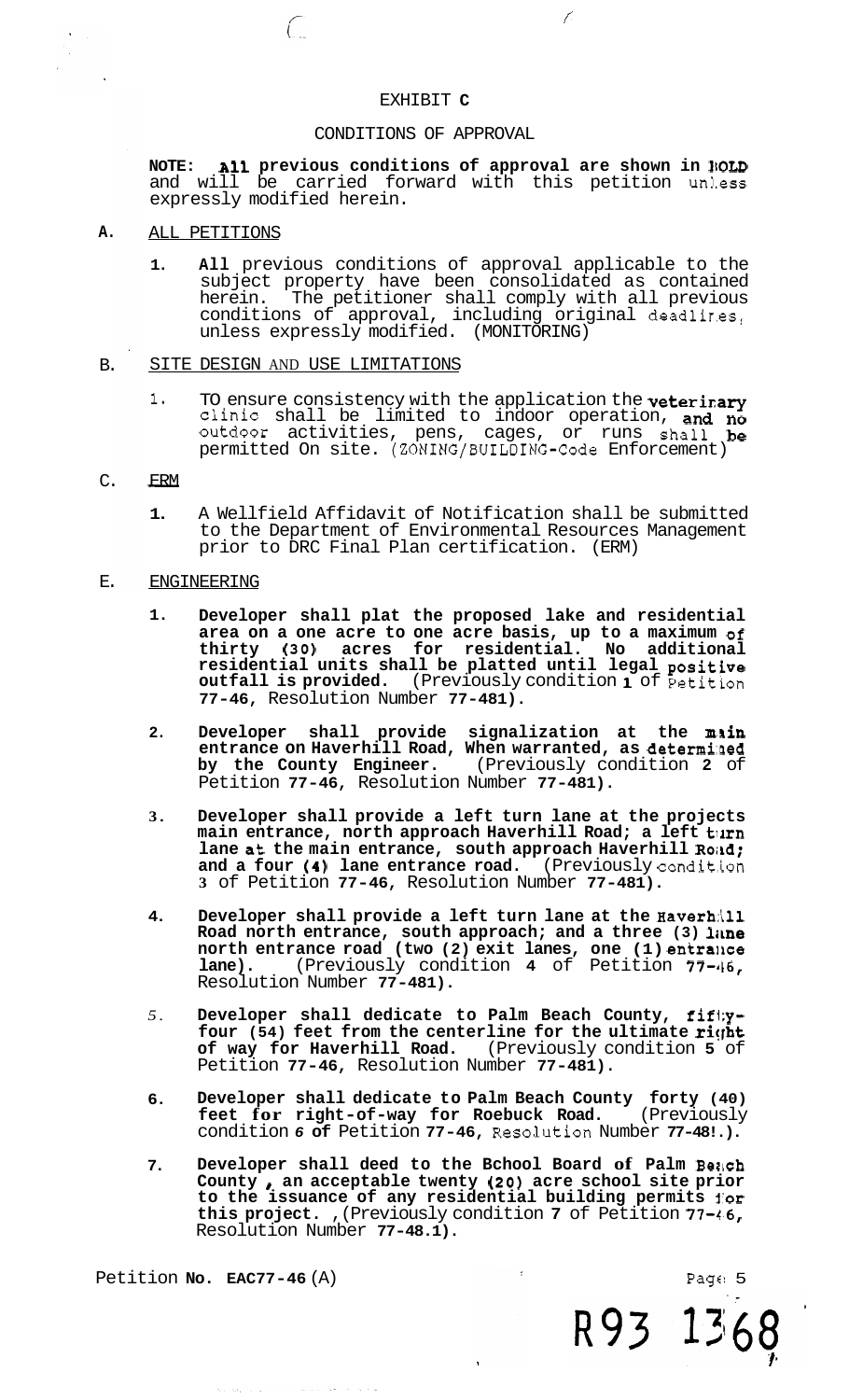### EXHIBIT **C**

### CONDITIONS OF APPROVAL

<span id="page-4-0"></span>NOTE: **All** previous conditions of approval are shown in NOLD and will be carried forward with this petition unless expressly modified herein.

*f* 

### **A.**  ALL PETITIONS

**1. All** previous conditions of approval applicable to the subject property have been consolidated as contained herein. The petitioner shall comply with all previous conditions of approval, including original deadlires, unless expressly modified. (MONITORING)

#### B. SITE DESIGN AND USE LIMITATIONS

 $\bigcap$ 

1. TO ensure consistency with the application the **veterinary** Clinic shall be limited to indoor operation, and **no**  outdoor activities, pens, cages, or runs shall be permitted On site. (ZONING/BUILDING-Code Enforcement) ERM<br>ON<br>De<br>ERM

### C.

**1.** A Wellfield Affidavit of Notification shall be submitted to the Department of Environmental Resources Management prior to DRC Final Plan certification. (ERM)

### E. ENGINEERING

- **1. Developer shall plat the proposed lake and residential area on a one acre to one acre basis, up to a maximum of thirty** *(30)* **acres for residential. No additional residential units shall be platted until legal positive outfall is provided.** (Previously condition **1** of Petition **77-46,** Resolution Number **77-481).**
- **2.**  Developer shall provide signalization at the min **entrance on Haverhill Road, When warranted, as determi:aed by the County Engineer.** (Previously condition **2** of Petition **77-46,** Resolution Number **77-481).**
- **3. Developer shall provide a left turn lane at the projects**  main entrance, north approach Haverhill Road; a left turn lane at the main entrance, south approach Haverhill Road; **and a four (4) lane entrance road.** (Previously condit.ion **3** of Petition **77-46,** Resolution Number **77-481).**
- **4. Developer shall provide a left turn lane at the Haverhill Road north entrance, south approach; and a three (3) lime north entrance road (two (2) exit lanes, one (1) entrance lane).** (Previously condition **4** of Petition **77-16,**  Resolution Number **77-481).**
- *5.*  **Developer shall dedicate to Palm Beach County, fifl;y**four (54) feet from the centerline for the ultimate right **of way for Haverhill Road.** (Previously condition **5** of Petition **77-46,** Resolution Number **77-481).**
- **6. Developer shall dedicate to Palm Beach County forty (40) feet for right-of-way for Roebuck Road.** (Previously feet for right-of-way for Roebuck Road. (Previously condition 6 of Petition 77-46, Resolution Number 77-48!.).
- **7. Developer shall deed to the Bchool Board of Palm Bench County** *8* **an acceptable twenty** *(20)* **acre school site prior to the issuance of any residential building permits i'or this project.** ,(Previously condition **7** of Petition **77-4.6,**  Resolution Number **77-48.1).**

Petition **No. EAC77-46** (A)

R93 1368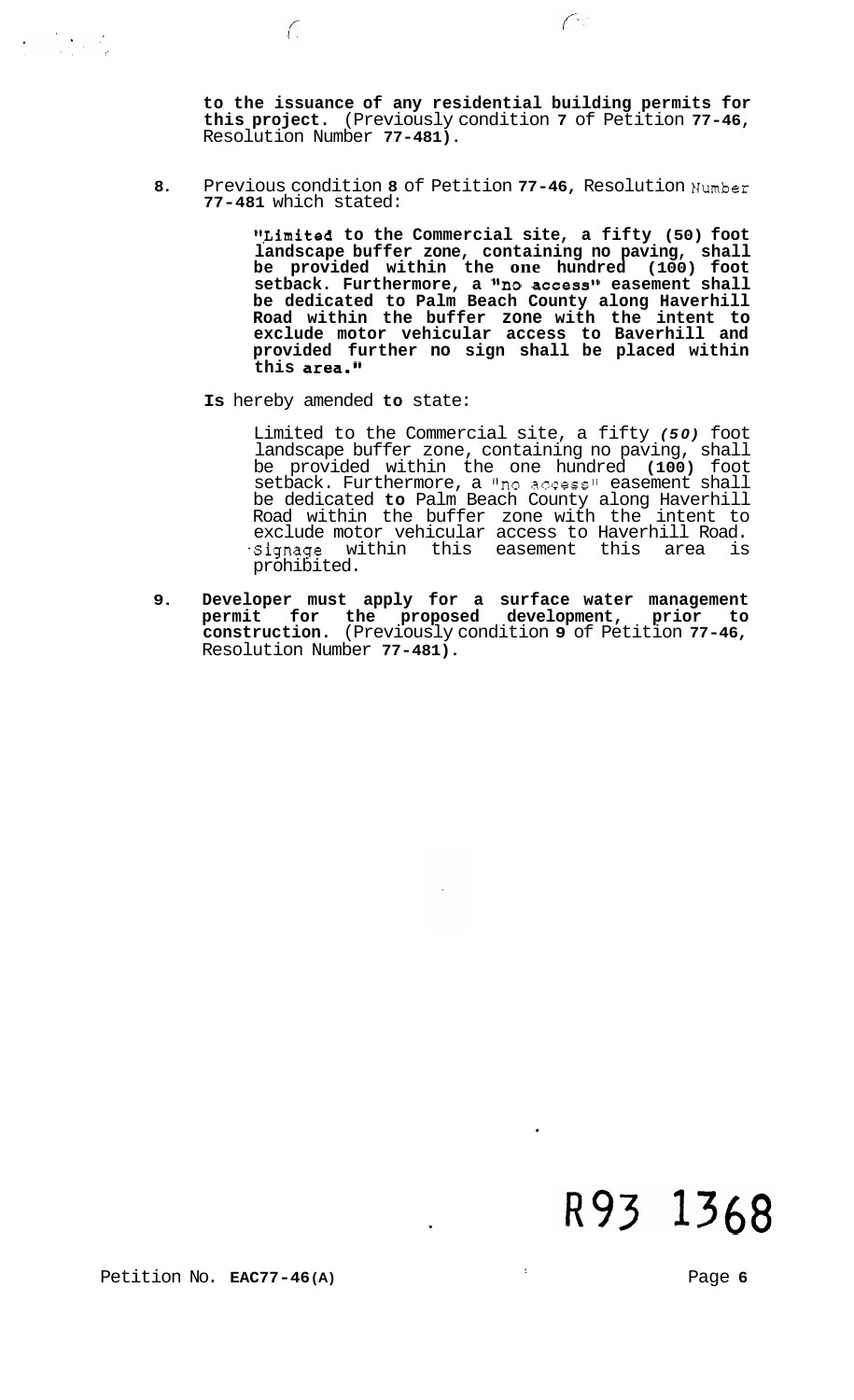**to the issuance of any residential building permits for this project.** (Previously condition **7** of Petition **77-46,**  Resolution Number **77-481).** 

 $\widehat{C}$ 

**8.** Previous condition **8** of Petition **77-46,** Resolution Number **77-481** which stated:

> **##,Limited to the Commercial site, a fifty (50) foot landscape buffer zone, containing no paving, shall be provided within the one hundred (100) foot setback. Furthermore, a %o access1\* easement shall be dedicated to Palm Beach County along Haverhill Road within the buffer zone with the intent to exclude motor vehicular access to Baverhill and provided further no sign shall be placed within**  this area."

**Is** hereby amended **to** state:

 $\bigcap$ 

Limited to the Commercial site, a fifty *(50)* foot landscape buffer zone, containing no paving, shall be provided within the one hundred **(100)** foot setback. Furthermore, a "no access" easement shall be dedicated **to** Palm Beach County along Haverhill Road within the buffer zone with the intent to exclude motor vehicular access to Haverhill Road. .Signage within this easement this area is prohibited.

**9. Developer must apply for a surface water management permit for the proposed development, prior to construction.** (Previously condition **9** of Petition **77-46,**  Resolution Number **77-481).**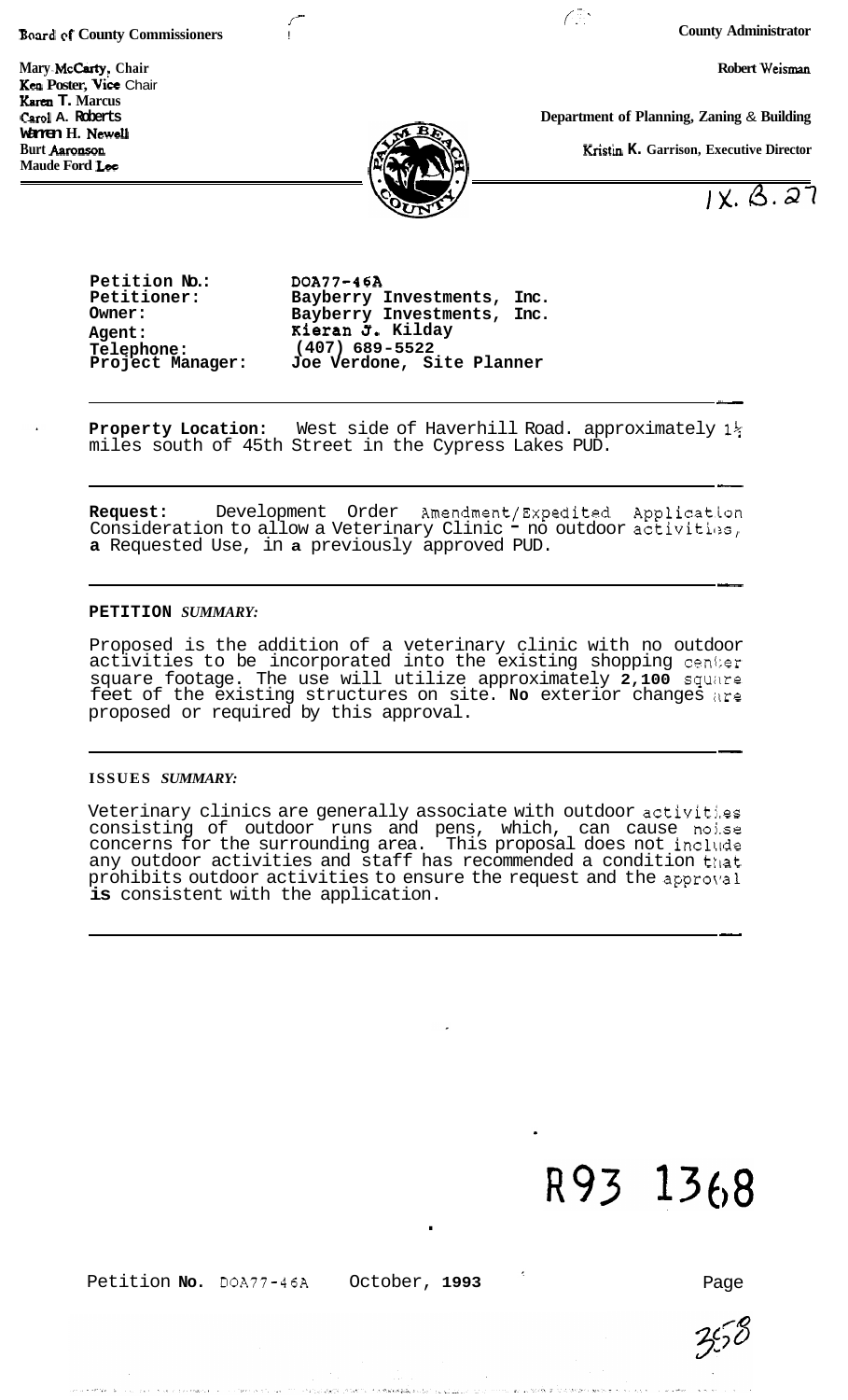**Board af County Commissioners** !

**Mary McCarty, Chair** Robert Weisman **Robert Weisman Kea Poster, Vice Chair** Karen T. Marcus<br>Carol A. Roberts **Warren H. Newell Maude Ford** Lee

**County Administrator** 

**Department of Planning, Zaning & Building** 

*f* ;-.

**Kristin K. Garrison, Executive Director** 

 $1x.$   $3.\overline{27}$ 

Petition No.: DOA77-46A<br>Petitioner: Bayberry **Telephone: (407) 689-5522** 

**Petitioner: Bayberry Investments, Inc. Owner: Bayberry Investments, Inc. Agent: Kieran J. Kilday**<br> **Telephone:** (407) 689-5522 Joe Verdone, Site Planner

*r* 

**Property Location:** West side of Haverhill Road. approximately **1%**  miles south of 45th Street in the Cypress Lakes PUD.

Request: Development Order Amendment/Expedited Application<br>Consideration to allow a Veterinary Clinic <sup>-</sup> no outdoor activities, **a** Requested Use, in **a** previously approved PUD.

### **PETITION** *SUMMARY:*

Proposed is the addition of a veterinary clinic with no outdoor activities to be incorporated into the existing shopping cen1:er square footage. The use will utilize approximately **2,100** squire feet of the existing structures on site. **No** exterior changes itre proposed or required by this approval.

### **ISSUES** *SUMMARY:*

Veterinary clinics are generally associate with outdoor activities consisting of outdoor runs and pens, which, can cause noise concerns for the surrounding area. This proposal does not include any outdoor activities and staff has recommended a condition that prohibits outdoor activities to ensure the request and the approval **is** consistent with the application.

# R93 1368

Petition **No.** DOA77-46A October, **1993** Page

.

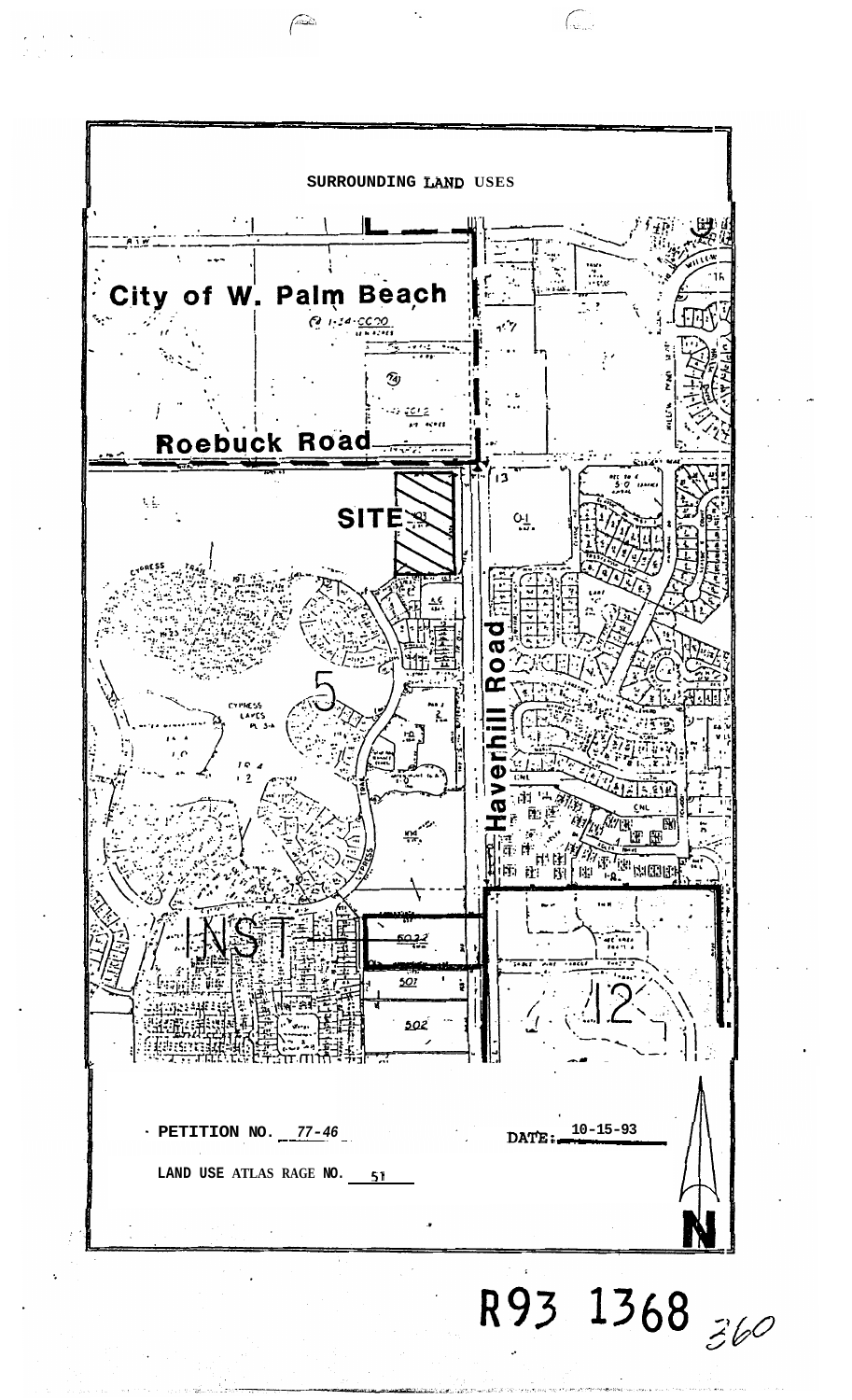

 $\sqrt{2}$ 

 $\widehat{\left( \begin{smallmatrix} 0 & 0 \\ 0 & 0 \end{smallmatrix} \right)}$ 

R93 1368 360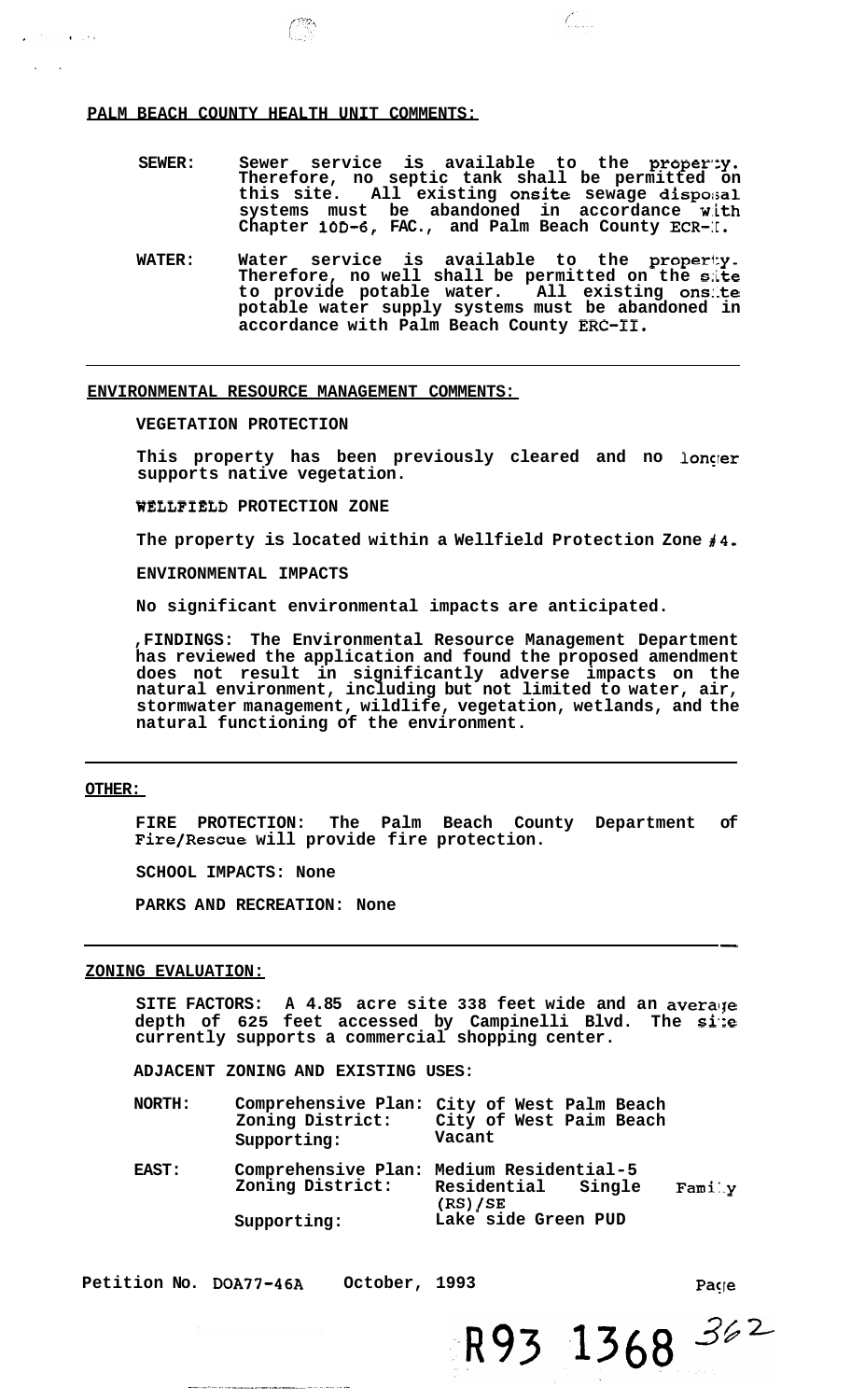### **PALM BEACH COUNTY HEALTH UNIT COMMENTS:**

SEWER: Sewer service is available to the property. **Therefore, no septic tank shall be permitted on this site. All existing onsite sewage dispersal systems must be abandoned in accordance w.ith**  Chapter 10D-6, FAC., and Palm Beach County ECR-I.

Comp

WATER: Water service is available to the property. **Therefore, no well shall be permitted on the s:ite to provide potable water. All existing ons:.te potable water supply systems must be abandoned in accordance with Palm Beach County ERC-11.** 

**ENVIRONMENTAL RESOURCE MANAGEMENT COMMENTS:** 

**VEGETATION PROTECTION** 

This property has been previously cleared and no longer **supports native vegetation.** 

**WELLFIELD PROTECTION ZONE** 

The property is located within a Wellfield Protection Zone  $\sharp 4$ .

**ENVIRONMENTAL IMPACTS** 

**No significant environmental impacts are anticipated.** 

**,FINDINGS: The Environmental Resource Management Department has reviewed the application and found the proposed amendment does not result in significantly adverse impacts on the natural environment, including but not limited to water, air, stormwater management, wildlife, vegetation, wetlands, and the natural functioning of the environment.** 

### **OTHER:**

..

 $\sim 10^{-1}$  ,  $\sim 10^{-1}$ 

**FIRE PROTECTION: The Palm Beach County Department of Fire/Rescue will provide fire protection.** 

**SCHOOL IMPACTS: None** 

**PARKS AND RECREATION: None** 

### **ZONING EVALUATION:**

SITE FACTORS: A 4.85 acre site 338 feet wide and an average **depth of 625 feet accessed by Campinelli Blvd. The si.:e currently supports a commercial shopping center.** 

**ADJACENT ZONING AND EXISTING USES:** 

| <b>NORTH:</b> | Zoning District:<br>Supporting: | Comprehensive Plan: City of West Palm Beach<br>City of West Paim Beach<br>Vacant    |
|---------------|---------------------------------|-------------------------------------------------------------------------------------|
| <b>EAST:</b>  | Zoning District:                | Comprehensive Plan: Medium Residential-5<br>Residential Single<br>Fami.y<br>(RS)/SE |
|               | Supporting:                     | Lake side Green PUD                                                                 |

**Petition No. DOA77-46A October, 1993** 

Paçie

R93 1368 362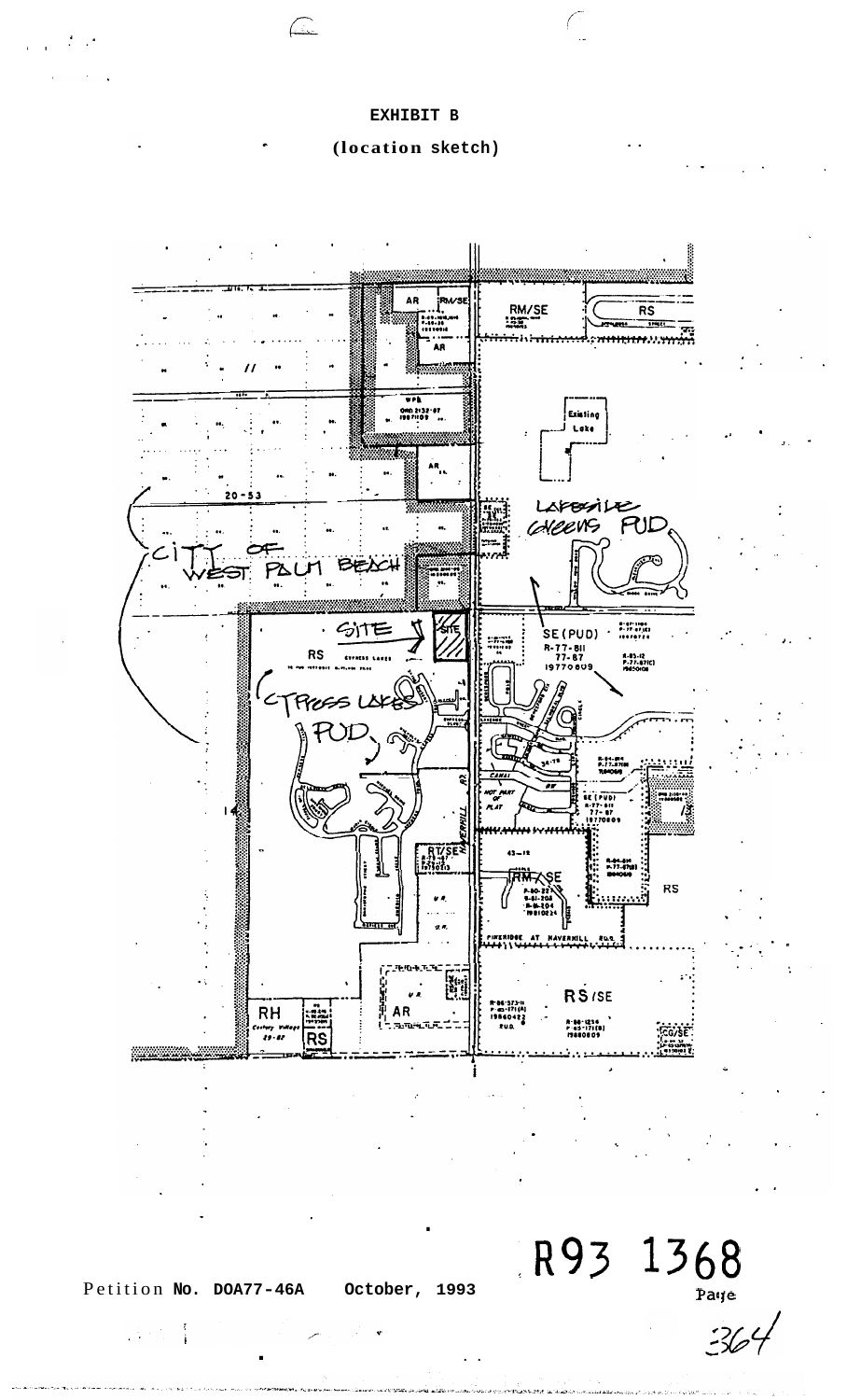### EXHIBIT B

 $\Box$ 

(location sketch)



 $R93 1368$ 

 $364$ 

Petition No. DOA77-46A

October, 1993

J÷